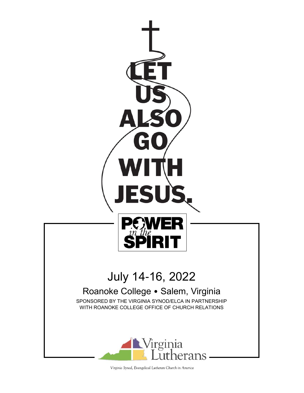

Virginia Synod, Evangelical Lutheran Church in America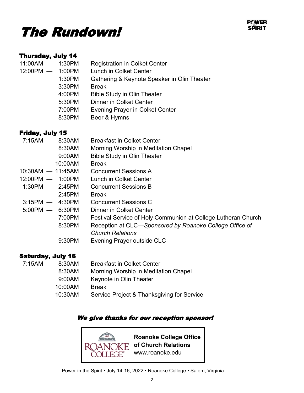



#### Thursday, July 14

| $11:00AM - 1:30PM$ |        | <b>Registration in Colket Center</b>        |
|--------------------|--------|---------------------------------------------|
| 12:00PM - 1:00PM   |        | <b>Lunch in Colket Center</b>               |
|                    | 1:30PM | Gathering & Keynote Speaker in Olin Theater |
|                    | 3:30PM | <b>Break</b>                                |
|                    | 4:00PM | <b>Bible Study in Olin Theater</b>          |
|                    | 5:30PM | <b>Dinner in Colket Center</b>              |
|                    | 7:00PM | <b>Evening Prayer in Colket Center</b>      |
|                    | 8:30PM | Beer & Hymns                                |
|                    |        |                                             |

### Friday, July 15

| $7:15AM - 8:30AM$   | <b>Breakfast in Colket Center</b>                             |
|---------------------|---------------------------------------------------------------|
| 8:30AM              | Morning Worship in Meditation Chapel                          |
| 9:00AM              | <b>Bible Study in Olin Theater</b>                            |
| 10:00AM             | <b>Break</b>                                                  |
| $10:30AM - 11:45AM$ | <b>Concurrent Sessions A</b>                                  |
| $12:00PM - 1:00PM$  | Lunch in Colket Center                                        |
| $1:30PM - 2:45PM$   | <b>Concurrent Sessions B</b>                                  |
| 2:45PM              | <b>Break</b>                                                  |
| $3:15PM - 4:30PM$   | <b>Concurrent Sessions C</b>                                  |
| $5:00PM - 6:30PM$   | Dinner in Colket Center                                       |
| 7:00PM              | Festival Service of Holy Communion at College Lutheran Church |
| 8:30PM              | Reception at CLC—Sponsored by Roanoke College Office of       |
|                     | <b>Church Relations</b>                                       |
| 9:30PM              | Evening Prayer outside CLC                                    |
|                     |                                                               |

#### Saturday, July 16

| $7:15AM - 8:30AM$ | <b>Breakfast in Colket Center</b>          |
|-------------------|--------------------------------------------|
| 8:30AM            | Morning Worship in Meditation Chapel       |
| 9:00AM            | Keynote in Olin Theater                    |
| 10:00AM           | <b>Break</b>                               |
| 10:30AM           | Service Project & Thanksgiving for Service |
|                   |                                            |

#### We give thanks for our reception sponsor!

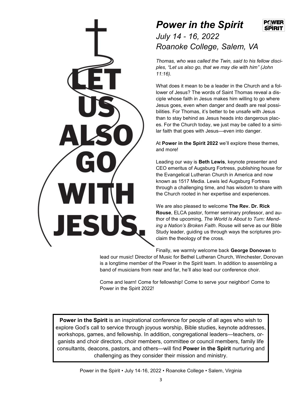## *Power in the Spirit*



*July 14 - 16, 2022 Roanoke College, Salem, VA*

*Thomas, who was called the Twin, said to his fellow disciples, "Let us also go, that we may die with him" (John 11:16).*

What does it mean to be a leader in the Church and a follower of Jesus? The words of Saint Thomas reveal a disciple whose faith in Jesus makes him willing to go where Jesus goes, even when danger and death are real possibilities. For Thomas, it's better to be unsafe with Jesus than to stay behind as Jesus heads into dangerous places. For the Church today, we just may be called to a similar faith that goes with Jesus—even into danger.

At **Power in the Spirit 2022** we'll explore these themes, and more!

Leading our way is **Beth Lewis**, keynote presenter and CEO emeritus of Augsburg Fortress, publishing house for the Evangelical Lutheran Church in America and now known as 1517 Media. Lewis led Augsburg Fortress through a challenging time, and has wisdom to share with the Church rooted in her expertise and experiences.

We are also pleased to welcome **The Rev. Dr. Rick Rouse**, ELCA pastor, former seminary professor, and author of the upcoming, *The World Is About to Turn: Mending a Nation's Broken Faith*. Rouse will serve as our Bible Study leader, guiding us through ways the scriptures proclaim the theology of the cross.

Finally, we warmly welcome back **George Donovan** to

lead our music! Director of Music for Bethel Lutheran Church, Winchester, Donovan is a longtime member of the Power in the Spirit team. In addition to assembling a band of musicians from near and far, he'll also lead our conference choir.

Come and learn! Come for fellowship! Come to serve your neighbor! Come to Power in the Spirit 2022!

**Power in the Spirit** is an inspirational conference for people of all ages who wish to explore God's call to service through joyous worship, Bible studies, keynote addresses, workshops, games, and fellowship. In addition, congregational leaders—teachers, organists and choir directors, choir members, committee or council members, family life consultants, deacons, pastors, and others—will find **Power in the Spirit** nurturing and challenging as they consider their mission and ministry.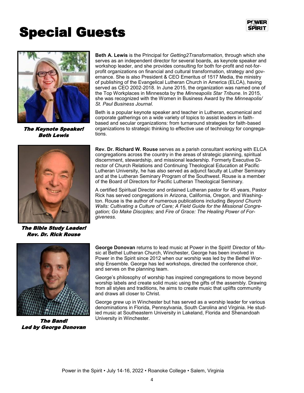

# Special Guests



The Keynote Speaker! Beth Lewis



The Bible Study Leader! Rev. Dr. Rick Rouse



Beth is a popular keynote speaker and teacher in Lutheran, ecumenical and corporate gatherings on a wide variety of topics to assist leaders in faithbased and secular organizations: from turnaround strategies for faith-based organizations to strategic thinking to effective use of technology for congregations.

**Rev. Dr. Richard W. Rouse** serves as a parish consultant working with ELCA congregations across the country in the areas of strategic planning, spiritual discernment, stewardship, and missional leadership. Formerly Executive Director of Church Relations and Continuing Theological Education at Pacific Lutheran University, he has also served as adjunct faculty at Luther Seminary and at the Lutheran Seminary Program of the Southwest. Rouse is a member of the Board of Directors for Pacific Lutheran Theological Seminary.

A certified Spiritual Director and ordained Lutheran pastor for 45 years, Pastor Rick has served congregations in Arizona, California, Oregon, and Washington. Rouse is the author of numerous publications including *Beyond Church Walls: Cultivating a Culture of Care; A Field Guide for the Missional Congregation; Go Make Disciples;* and *Fire of Grace: The Healing Power of Forgiveness.*



The Band! Led by George Donovan

**George Donovan** returns to lead music at Power in the Spirit! Director of Music at Bethel Lutheran Church, Winchester, George has been involved in Power in the Spirit since 2012 when our worship was led by the Bethel Worship Ensemble. George has led workshops, directed the conference choir, and serves on the planning team.

George's philosophy of worship has inspired congregations to move beyond worship labels and create solid music using the gifts of the assembly. Drawing from all styles and traditions, he aims to create music that uplifts community and draws all closer to Christ.

George grew up in Winchester but has served as a worship leader for various denominations in Florida, Pennsylvania, South Carolina and Virginia. He studied music at Southeastern University in Lakeland, Florida and Shenandoah University in Winchester.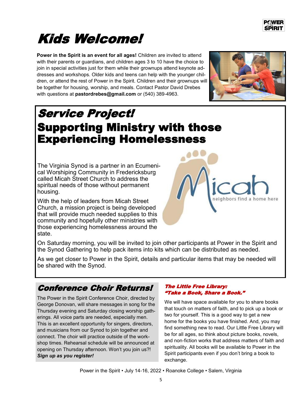# Kids Welcome!

**Power in the Spirit is an event for all ages!** Children are invited to attend with their parents or guardians, and children ages 3 to 10 have the choice to join in special activities just for them while their grownups attend keynote addresses and workshops. Older kids and teens can help with the younger children, or attend the rest of Power in the Spirit. Children and their grownups will be together for housing, worship, and meals. Contact Pastor David Drebes with questions at **pastordrebes@gmail.com** or (540) 389-4963.



## Service Project! Supporting Ministry with those Experiencing Homelessness

The Virginia Synod is a partner in an Ecumenical Worshiping Community in Fredericksburg called Micah Street Church to address the spiritual needs of those without permanent housing.

With the help of leaders from Micah Street Church, a mission project is being developed that will provide much needed supplies to this community and hopefully other ministries with those experiencing homelessness around the state.



On Saturday morning, you will be invited to join other participants at Power in the Spirit and the Synod Gathering to help pack items into kits which can be distributed as needed.

As we get closer to Power in the Spirit, details and particular items that may be needed will be shared with the Synod.

## Conference Choir Returns!

The Power in the Spirit Conference Choir, directed by George Donovan, will share messages in song for the Thursday evening and Saturday closing worship gatherings. All voice parts are needed, especially men. This is an excellent opportunity for singers, directors, and musicians from our Synod to join together and connect. The choir will practice outside of the workshop times. Rehearsal schedule will be announced at opening on Thursday afternoon. Won't you join us?! *Sign up as you register!*

#### The Little Free Library: "Take a Book, Share a Book."

We will have space available for you to share books that touch on matters of faith, and to pick up a book or two for yourself. This is a good way to get a new home for the books you have finished. And, you may find something new to read. Our Little Free Library will be for all ages, so think about picture books, novels, and non-fiction works that address matters of faith and spirituality. All books will be available to Power in the Spirit participants even if you don't bring a book to exchange.

Power in the Spirit • July 14-16, 2022 • Roanoke College • Salem, Virginia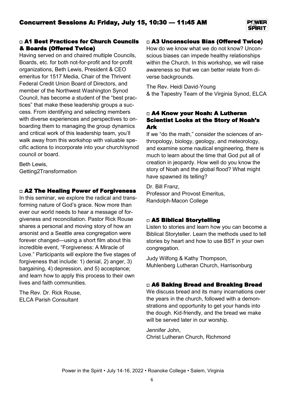#### □ A1 Best Practices for Church Councils & Boards (Offered Twice)

Having served on and chaired multiple Councils, Boards, etc. for both not-for-profit and for-profit organizations, Beth Lewis, President & CEO emeritus for 1517 Media, Chair of the Thrivent Federal Credit Union Board of Directors, and member of the Northwest Washington Synod Council, has become a student of the "best practices" that make these leadership groups a success. From identifying and selecting members with diverse experiences and perspectives to onboarding them to managing the group dynamics and critical work of this leadership team, you'll walk away from this workshop with valuable specific actions to incorporate into your church/synod council or board.

Beth Lewis, Getting2Transformation

#### □ A2 The Healing Power of Forgiveness

In this seminar, we explore the radical and transforming nature of God's grace. Now more than ever our world needs to hear a message of forgiveness and reconciliation. Pastor Rick Rouse shares a personal and moving story of how an arsonist and a Seattle area congregation were forever changed—using a short film about this incredible event, "Forgiveness: A Miracle of Love." Participants will explore the five stages of forgiveness that include: 1) denial, 2) anger, 3) bargaining, 4) depression, and 5) acceptance; and learn how to apply this process to their own lives and faith communities.

The Rev. Dr. Rick Rouse, ELCA Parish Consultant

#### □ A3 Unconscious Bias (Offered Twice)

How do we know what we do not know? Unconscious biases can impede healthy relationships within the Church. In this workshop, we will raise awareness so that we can better relate from diverse backgrounds.

The Rev. Heidi David-Young

& the Tapestry Team of the Virginia Synod, ELCA

#### □ A4 Know your Noah: A Lutheran Scientist Looks at the Story of Noah's Ark

If we "do the math," consider the sciences of anthropology, biology, geology, and meteorology, and examine some nautical engineering, there is much to learn about the time that God put all of creation in jeopardy. How well do you know the story of Noah and the global flood? What might have spawned its telling?

Dr. Bill Franz, Professor and Provost Emeritus, Randolph-Macon College

#### □ A5 Biblical Storytelling

Listen to stories and learn how you can become a Biblical Storyteller. Learn the methods used to tell stories by heart and how to use BST in your own congregation.

Judy Wilfong & Kathy Thompson, Muhlenberg Lutheran Church, Harrisonburg

#### □ A6 Baking Bread and Breaking Bread

We discuss bread and its many incarnations over the years in the church, followed with a demonstrations and opportunity to get your hands into the dough. Kid-friendly, and the bread we make will be served later in our worship.

Jennifer John, Christ Lutheran Church, Richmond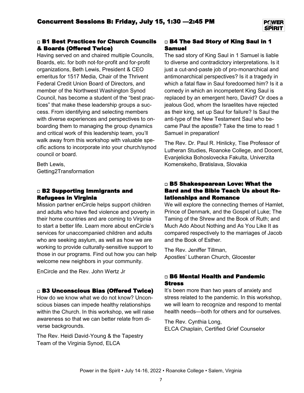#### □ B1 Best Practices for Church Councils & Boards (Offered Twice)

Having served on and chaired multiple Councils, Boards, etc. for both not-for-profit and for-profit organizations, Beth Lewis, President & CEO emeritus for 1517 Media, Chair of the Thrivent Federal Credit Union Board of Directors, and member of the Northwest Washington Synod Council, has become a student of the "best practices" that make these leadership groups a success. From identifying and selecting members with diverse experiences and perspectives to onboarding them to managing the group dynamics and critical work of this leadership team, you'll walk away from this workshop with valuable specific actions to incorporate into your church/synod council or board.

Beth Lewis, Getting2Transformation

#### □ B2 Supporting Immigrants and Refugees in Virginia

Mission partner enCircle helps support children and adults who have fled violence and poverty in their home countries and are coming to Virginia to start a better life. Learn more about enCircle's services for unaccompanied children and adults who are seeking asylum, as well as how we are working to provide culturally-sensitive support to those in our programs. Find out how you can help welcome new neighbors in your community.

EnCircle and the Rev. John Wertz Jr

#### □ B3 Unconscious Bias (Offered Twice)

How do we know what we do not know? Unconscious biases can impede healthy relationships within the Church. In this workshop, we will raise awareness so that we can better relate from diverse backgrounds.

The Rev. Heidi David-Young & the Tapestry Team of the Virginia Synod, ELCA

#### □ B4 The Sad Story of King Saul in 1 Samuel

The sad story of King Saul in 1 Samuel is liable to diverse and contradictory interpretations. Is it just a cut-and-paste job of pro-monarchical and antimonarchical perspectives? Is it a tragedy in which a fatal flaw in Saul foredoomed him? Is it a comedy in which an incompetent King Saul is replaced by an emergent hero, David? Or does a jealous God, whom the Israelites have rejected as their king, set up Saul for failure? Is Saul the anti-type of the New Testament Saul who became Paul the apostle? Take the time to read 1 Samuel in preparation!

The Rev. Dr. Paul R. Hinlicky, Tise Professor of Lutheran Studies, Roanoke College, and Docent, Evanjelicka Bohoslovecka Fakulta, Univerzita Komenskeho, Bratislava, Slovakia

#### □ B5 Shakespearean Love: What the Bard and the Bible Teach Us about Relationships and Romance

We will explore the connecting themes of Hamlet, Prince of Denmark, and the Gospel of Luke; The Taming of the Shrew and the Book of Ruth; and Much Ado About Nothing and As You Like It as compared respectively to the marriages of Jacob and the Book of Esther.

The Rev. Jeniffer Tillman, Apostles' Lutheran Church, Glocester

#### □ B6 Mental Health and Pandemic Stress

It's been more than two years of anxiety and stress related to the pandemic. In this workshop, we will learn to recognize and respond to mental health needs—both for others and for ourselves.

The Rev. Cynthia Long, ELCA Chaplain, Certified Grief Counselor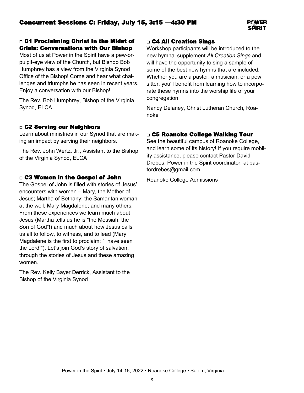

#### □ C1 Proclaiming Christ In the Midst of Crisis: Conversations with Our Bishop

Most of us at Power in the Spirit have a pew-orpulpit-eye view of the Church, but Bishop Bob Humphrey has a view from the Virginia Synod Office of the Bishop! Come and hear what challenges and triumphs he has seen in recent years. Enjoy a conversation with our Bishop!

The Rev. Bob Humphrey, Bishop of the Virginia Synod, ELCA

#### □ C2 Serving our Neighbors

Learn about ministries in our Synod that are making an impact by serving their neighbors.

The Rev. John Wertz, Jr., Assistant to the Bishop of the Virginia Synod, ELCA

#### □ C3 Women in the Gospel of John

The Gospel of John is filled with stories of Jesus' encounters with women – Mary, the Mother of Jesus; Martha of Bethany; the Samaritan woman at the well; Mary Magdalene; and many others. From these experiences we learn much about Jesus (Martha tells us he is "the Messiah, the Son of God"!) and much about how Jesus calls us all to follow, to witness, and to lead (Mary Magdalene is the first to proclaim: "I have seen the Lord!"). Let's join God's story of salvation, through the stories of Jesus and these amazing women.

The Rev. Kelly Bayer Derrick, Assistant to the Bishop of the Virginia Synod

#### □ C4 All Creation Sings

Workshop participants will be introduced to the new hymnal supplement *All Creation Sings* and will have the opportunity to sing a sample of some of the best new hymns that are included. Whether you are a pastor, a musician, or a pew sitter, you'll benefit from learning how to incorporate these hymns into the worship life of your congregation.

Nancy Delaney, Christ Lutheran Church, Roanoke

#### □ C5 Roanoke College Walking Tour

See the beautiful campus of Roanoke College, and learn some of its history! If you require mobility assistance, please contact Pastor David Drebes, Power in the Spirit coordinator, at pastordrebes@gmail.com.

Roanoke College Admissions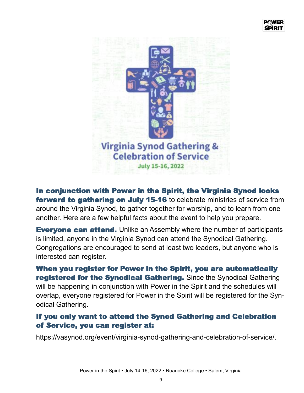

In conjunction with Power in the Spirit, the Virginia Synod looks **forward to gathering on July 15-16** to celebrate ministries of service from around the Virginia Synod, to gather together for worship, and to learn from one another. Here are a few helpful facts about the event to help you prepare.

**Everyone can attend.** Unlike an Assembly where the number of participants is limited, anyone in the Virginia Synod can attend the Synodical Gathering. Congregations are encouraged to send at least two leaders, but anyone who is interested can register.

When you register for Power in the Spirit, you are automatically registered for the Synodical Gathering. Since the Synodical Gathering will be happening in conjunction with Power in the Spirit and the schedules will overlap, everyone registered for Power in the Spirit will be registered for the Synodical Gathering.

## If you only want to attend the Synod Gathering and Celebration of Service, you can register at:

https://vasynod.org/event/virginia-synod-gathering-and-celebration-of-service/.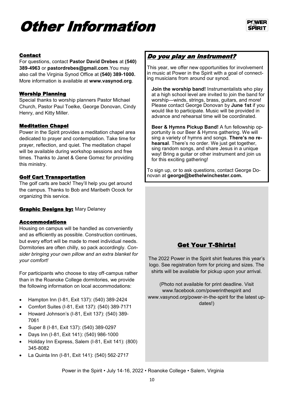# Other Information



#### Contact

For questions, contact **Pastor David Drebes** at **(540) 389-4963** or **pastordrebes@gmail.com**.You may also call the Virginia Synod Office at **(540) 389-1000.**  More information is available at **www.vasynod.org**.

#### Worship Planning

Special thanks to worship planners Pastor Michael Church, Pastor Paul Toelke, George Donovan, Cindy Henry, and Kitty Miller.

#### Meditation Chapel

Power in the Spirit provides a meditation chapel area dedicated to prayer and contemplation. Take time for prayer, reflection, and quiet. The meditation chapel will be available during workshop sessions and free times. Thanks to Janet & Gene Gomez for providing this ministry.

#### Golf Cart Transportation

The golf carts are back! They'll help you get around the campus. Thanks to Bob and Maribeth Ocock for organizing this service.

#### **Graphic Designs by: Mary Delaney**

#### Accommodations

Housing on campus will be handled as conveniently and as efficiently as possible. Construction continues, but every effort will be made to meet individual needs. Dormitories are often chilly, so pack accordingly. *Consider bringing your own pillow and an extra blanket for your comfort!*

For participants who choose to stay off-campus rather than in the Roanoke College dormitories, we provide the following information on local accommodations:

- Hampton Inn (I-81, Exit 137): (540) 389-2424
- Comfort Suites (I-81, Exit 137): (540) 389-7171
- Howard Johnson's (I-81, Exit 137): (540) 389- 7061
- Super 8 (I-81, Exit 137): (540) 389-0297
- Days Inn (I-81, Exit 141): (540) 986-1000
- Holiday Inn Express, Salem (I-81, Exit 141): (800) 345-8082
- La Quinta Inn (I-81, Exit 141): (540) 562-2717

#### Do you play an instrument?

This year, we offer new opportunities for involvement in music at Power in the Spirit with a goal of connecting musicians from around our synod.

**Join the worship band!** Instrumentalists who play at a high school level are invited to join the band for worship—winds, strings, brass, guitars, and more! Please contact George Donovan by **June 1st** if you would like to participate. Music will be provided in advance and rehearsal time will be coordinated.

**Beer & Hymns Pickup Band!** A fun fellowship opportunity is our Beer & Hymns gathering. We will sing a variety of hymns and songs. **There's no rehearsal**. There's no order. We just get together, sing random songs, and share Jesus in a unique way! Bring a guitar or other instrument and join us for this exciting gathering!

To sign up, or to ask questions, contact George Donovan at **george@bethelwinchester.com.**

### Get Your T-Shirts!

The 2022 Power in the Spirit shirt features this year's logo. See registration form for pricing and sizes. The shirts will be available for pickup upon your arrival.

(Photo not available for print deadline. Visit www.facebook.com/powerinthespirit and www.vasynod.org/power-in-the-spirit for the latest updates!)

Power in the Spirit • July 14-16, 2022 • Roanoke College • Salem, Virginia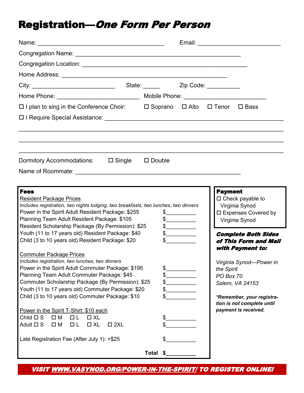## Registration—One Form Per Person

| $\Box$ I plan to sing in the Conference Choir: $\Box$ Soprano $\Box$ Alto $\Box$ Tenor $\Box$ Bass                                                                                                                                                                                                                                                                                                                                                                                                                                                                                                                                                                                                                                                                                                                                                                                                                                                                                              |                                                                                                                                                                                                                                                                                                                                                                                                                                                                                        |                                           |                                                                                                                                                                                                                                                                                                  |
|-------------------------------------------------------------------------------------------------------------------------------------------------------------------------------------------------------------------------------------------------------------------------------------------------------------------------------------------------------------------------------------------------------------------------------------------------------------------------------------------------------------------------------------------------------------------------------------------------------------------------------------------------------------------------------------------------------------------------------------------------------------------------------------------------------------------------------------------------------------------------------------------------------------------------------------------------------------------------------------------------|----------------------------------------------------------------------------------------------------------------------------------------------------------------------------------------------------------------------------------------------------------------------------------------------------------------------------------------------------------------------------------------------------------------------------------------------------------------------------------------|-------------------------------------------|--------------------------------------------------------------------------------------------------------------------------------------------------------------------------------------------------------------------------------------------------------------------------------------------------|
| □ I Require Special Assistance: University Assume Assistance: University Assistance: University Assistance: University Assistance: University Assistance: University Assistance: University Assistance: University Assistance                                                                                                                                                                                                                                                                                                                                                                                                                                                                                                                                                                                                                                                                                                                                                                   |                                                                                                                                                                                                                                                                                                                                                                                                                                                                                        |                                           |                                                                                                                                                                                                                                                                                                  |
|                                                                                                                                                                                                                                                                                                                                                                                                                                                                                                                                                                                                                                                                                                                                                                                                                                                                                                                                                                                                 |                                                                                                                                                                                                                                                                                                                                                                                                                                                                                        |                                           |                                                                                                                                                                                                                                                                                                  |
| Dormitory Accommodations: □ Single □ Double                                                                                                                                                                                                                                                                                                                                                                                                                                                                                                                                                                                                                                                                                                                                                                                                                                                                                                                                                     |                                                                                                                                                                                                                                                                                                                                                                                                                                                                                        |                                           |                                                                                                                                                                                                                                                                                                  |
|                                                                                                                                                                                                                                                                                                                                                                                                                                                                                                                                                                                                                                                                                                                                                                                                                                                                                                                                                                                                 |                                                                                                                                                                                                                                                                                                                                                                                                                                                                                        |                                           |                                                                                                                                                                                                                                                                                                  |
|                                                                                                                                                                                                                                                                                                                                                                                                                                                                                                                                                                                                                                                                                                                                                                                                                                                                                                                                                                                                 |                                                                                                                                                                                                                                                                                                                                                                                                                                                                                        |                                           |                                                                                                                                                                                                                                                                                                  |
| <b>Fees</b><br><b>Resident Package Prices</b><br>Includes registration, two nights lodging, two breakfasts, two lunches, two dinners<br>Power in the Spirit Adult Resident Package: \$255<br>Planning Team Adult Resident Package: \$105<br>Resident Scholarship Package (By Permission): \$25<br>Youth (11 to 17 years old) Resident Package: \$40<br>Child (3 to 10 years old) Resident Package: \$20<br><b>Commuter Package Prices</b><br>Includes registration, two lunches, two dinners<br>Power in the Spirit Adult Commuter Package: \$195<br>Planning Team Adult Commuter Package: \$45<br>Commuter Scholarship Package (By Permission): \$25<br>Youth (11 to 17 years old) Commuter Package: \$20<br>Child (3 to 10 years old) Commuter Package: \$10<br>Power in the Spirit T-Shirt: \$10 each<br>Child $\square$ S<br>$\square$ M<br>$\Box L$<br>$\Box$ XL<br>Adult $\Box$ S<br>$\square$ M<br>$\Box$ L<br>$\Box$ XL<br>$\square$ 2XL<br>Late Registration Fee (After July 1): +\$25 | $\frac{1}{2}$<br>$\frac{1}{2}$<br>$\frac{1}{2}$<br>$\begin{picture}(20,20) \put(0,0){\line(1,0){10}} \put(15,0){\line(1,0){10}} \put(15,0){\line(1,0){10}} \put(15,0){\line(1,0){10}} \put(15,0){\line(1,0){10}} \put(15,0){\line(1,0){10}} \put(15,0){\line(1,0){10}} \put(15,0){\line(1,0){10}} \put(15,0){\line(1,0){10}} \put(15,0){\line(1,0){10}} \put(15,0){\line(1,0){10}} \put(15,0){\line(1$<br>$\frac{1}{2}$<br>\$<br>\$<br>\$<br>\$<br>\$<br>\$<br>\$<br><b>Total</b><br>S | <b>Payment</b><br>the Spirit<br>PO Box 70 | $\Box$ Check payable to<br>Virginia Synod<br>□ Expenses Covered by<br>Virginia Synod<br><b>Complete Both Sides</b><br>of This Form and Mail<br>with Payment to:<br>Virginia Synod-Power in<br>Salem, VA 24153<br>*Remember, your registra-<br>tion is not complete until<br>payment is received. |

VISIT WWW.VASYNOD.ORG/POWER-IN-THE-SPIRIT/ TO REGISTER ONLINE!